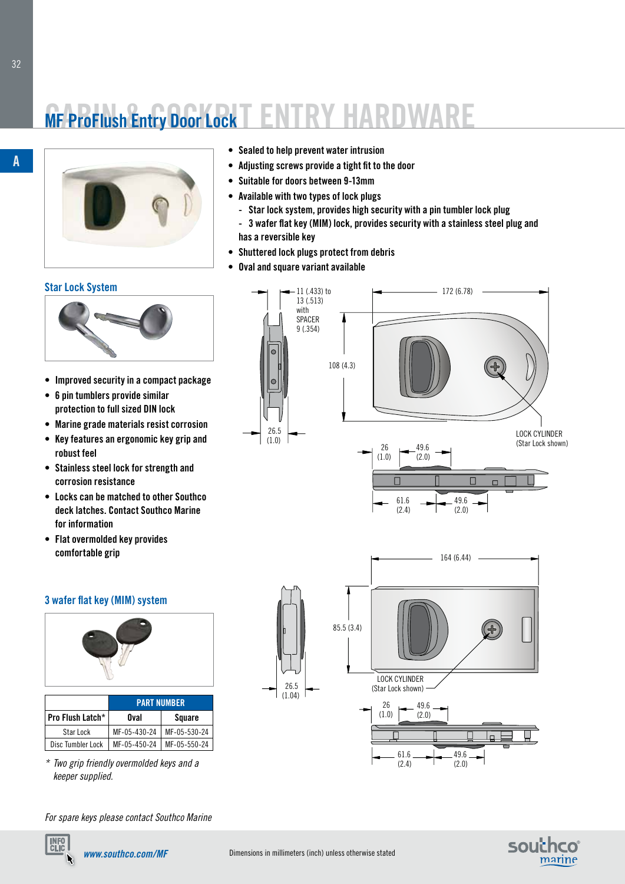# **MF ProFlush Entry Door Lock T ENTRY HARDWA**



### **Star Lock System**



- **• Improved security in a compact package**
- **• 6 pin tumblers provide similar protection to full sized DIN lock**
- **• Marine grade materials resist corrosion**
- **• Key features an ergonomic key grip and robust feel**
- **• Stainless steel lock for strength and corrosion resistance**
- **• Locks can be matched to other Southco deck latches. Contact Southco Marine for information**
- **• Flat overmolded key provides comfortable grip**

### **3 wafer flat key (MIM ) system**



|                   | <b>PART NUMBER</b> |              |
|-------------------|--------------------|--------------|
| Pro Flush Latch*  | Oval               | Square       |
| Star Lock         | MF-05-430-24       | MF-05-530-24 |
| Disc Tumbler Lock | MF-05-450-24       | MF-05-550-24 |

*\* Two grip friendly overmolded keys and a keeper supplied.*

*For spare keys please contact Southco Marine*

- - **• Sealed to help prevent water intrusion**
	- **• Adjusting screws provide a tight fit to the door**
	- **• Suitable for doors between 9-13mm**
	- **• Available with two types of lock plugs** 
		- **Star lock system, provides high security with a pin tumbler lock plug**
		- **3 wafer flat key (MIM ) lock, provides security with a stainless steel plug and has a reversible key**
	- **• Shuttered lock plugs protect from debris**
	- **• Oval and square variant available**



61.6 (2.4)

49.6 (2.0)







**A**

**INFO**<br>CLIC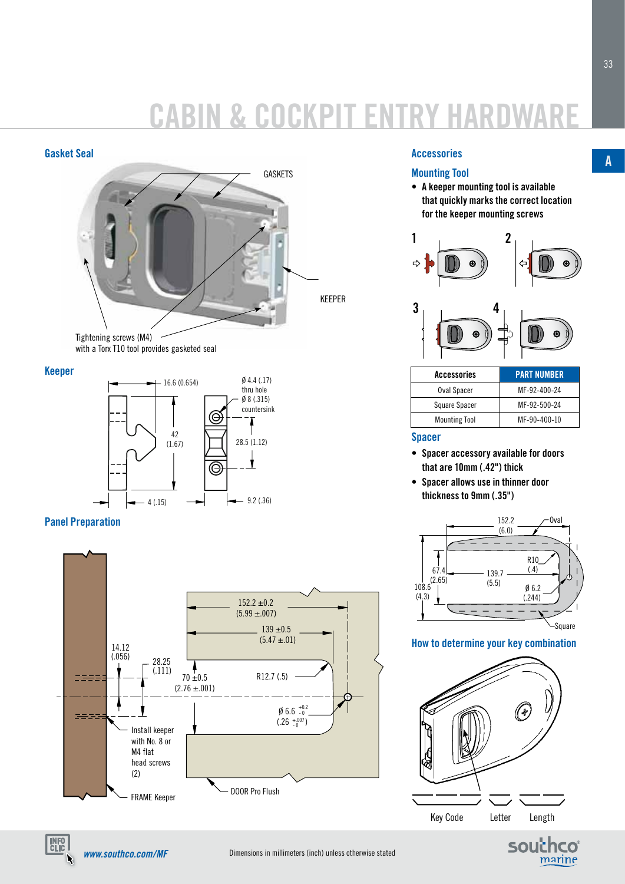# **CABIN & COCKPIT ENTR Y HAR DWARE**



with a Torx T10 tool provides gasketed seal

## **Keeper**



# **Panel Preparation**



## **Accessories**

# **Mounting Tool**

**• A keeper mounting tool is available that quickly marks the correct location for the keeper mounting screws**





| Accessories          | <b>PART NUMBER</b> |  |
|----------------------|--------------------|--|
| Oval Spacer          | MF-92-400-24       |  |
| Square Spacer        | MF-92-500-24       |  |
| <b>Mounting Tool</b> | MF-90-400-10       |  |

## **Spacer**

- **• Spacer accessory available for doors that are 10mm (.42") thick**
- **• Spacer allows use in thinner door thickness to 9mm (.35")**



# **How to determine your key combination**



**A**

*www.southco.com/MF*

**INFO**<br>CLIC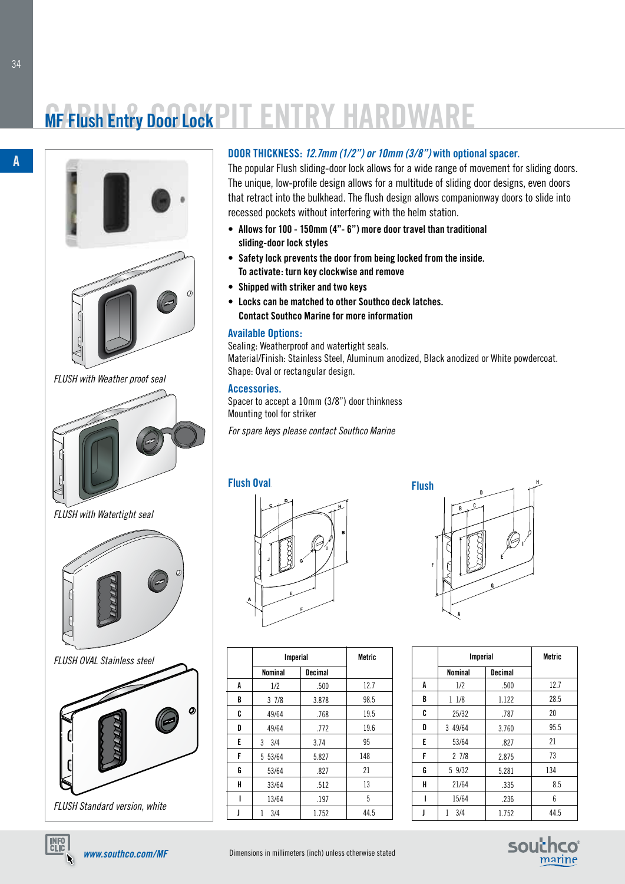# **MF Flush Entry Door Lock PIT ENTRY HARDWA**



*FLUSH with Weather proof seal*



*FLUSH with Watertight seal*





# **DOOR THICKNESS:** *12.7mm (1/2") or 10mm (3/8")* **with optional spacer.**

The popular Flush sliding-door lock allows for a wide range of movement for sliding doors. The unique, low-profile design allows for a multitude of sliding door designs, even doors that retract into the bulkhead. The flush design allows companionway doors to slide into recessed pockets without interfering with the helm station.

- **• Allows for 100 150mm (4"- 6") more door travel than traditional sliding-door lock styles**
- **• Safety lock prevents the door from being locked from the inside. To activate: turn key clockwise and remove**
- **• Shipped with striker and two keys**
- **• Locks can be matched to other Southco deck latches. Contact Southco Marine for more information**

### **Available Options:**

Sealing: Weatherproof and watertight seals. Material/Finish: Stainless Steel, Aluminum anodized, Black anodized or White powdercoat. **H** Shape: Oval or rectangular design. **D**

# **Accessories. B**

Spacer to accept a 10mm (3/8") door thinkness Mounting tool for striker

**E F** *For spare keys please contact Southco Marine*





**D H C E I G A F B**

|   | <b>Imperial</b> |                | <b>Metric</b> |
|---|-----------------|----------------|---------------|
|   | <b>Nominal</b>  | <b>Decimal</b> |               |
| A | 1/2             | .500           | 12.7          |
| B | 11/8            | 1.122          | 28.5          |
| C | 25/32           | .787           | 20            |
| D | 3 49/64         | 3.760          | 95.5          |
| E | 53/64           | .827           | 21            |
| F | 27/8            | 2.875          | 73            |
| G | 5 9/32          | 5.281          | 134           |
| H | 21/64           | .335           | 8.5           |
| ı | 15/64           | .236           | 6             |
|   | 3/4             | 1.752          | 44.5          |



**A**